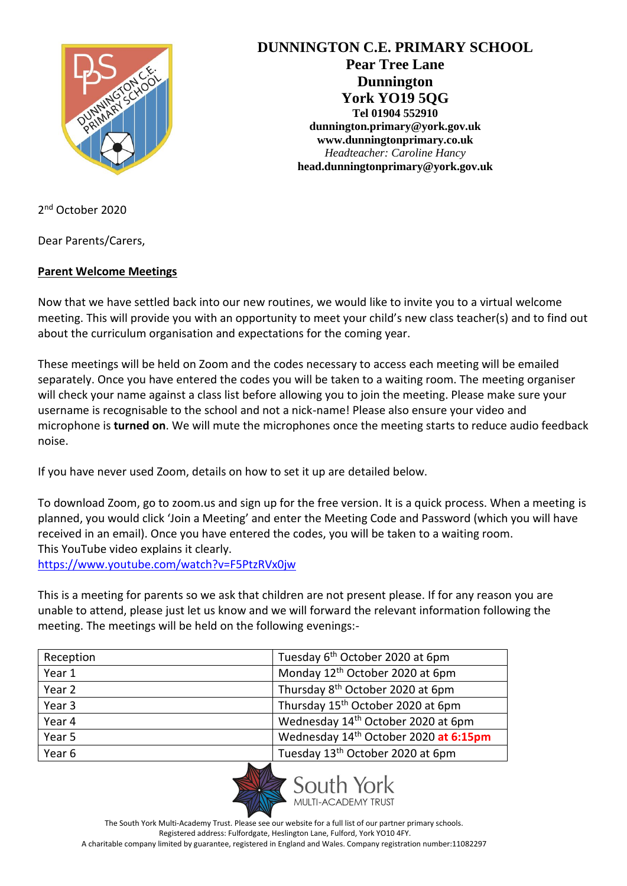

**DUNNINGTON C.E. PRIMARY SCHOOL Pear Tree Lane Dunnington York YO19 5QG Tel 01904 552910 dunnington.primary@york.gov.uk www.dunningtonprimary.co.uk** *Headteacher: Caroline Hancy* **head.dunningtonprimary@york.gov.uk**

2 nd October 2020

Dear Parents/Carers,

### **Parent Welcome Meetings**

Now that we have settled back into our new routines, we would like to invite you to a virtual welcome meeting. This will provide you with an opportunity to meet your child's new class teacher(s) and to find out about the curriculum organisation and expectations for the coming year.

These meetings will be held on Zoom and the codes necessary to access each meeting will be emailed separately. Once you have entered the codes you will be taken to a waiting room. The meeting organiser will check your name against a class list before allowing you to join the meeting. Please make sure your username is recognisable to the school and not a nick-name! Please also ensure your video and microphone is **turned on**. We will mute the microphones once the meeting starts to reduce audio feedback noise.

If you have never used Zoom, details on how to set it up are detailed below.

To download Zoom, go to zoom.us and sign up for the free version. It is a quick process. When a meeting is planned, you would click 'Join a Meeting' and enter the Meeting Code and Password (which you will have received in an email). Once you have entered the codes, you will be taken to a waiting room. This YouTube video explains it clearly.

<https://www.youtube.com/watch?v=F5PtzRVx0jw>

This is a meeting for parents so we ask that children are not present please. If for any reason you are unable to attend, please just let us know and we will forward the relevant information following the meeting. The meetings will be held on the following evenings:-

| Reception | Tuesday 6 <sup>th</sup> October 2020 at 6pm       |
|-----------|---------------------------------------------------|
| Year 1    | Monday 12 <sup>th</sup> October 2020 at 6pm       |
| Year 2    | Thursday 8 <sup>th</sup> October 2020 at 6pm      |
| Year 3    | Thursday 15 <sup>th</sup> October 2020 at 6pm     |
| Year 4    | Wednesday 14 <sup>th</sup> October 2020 at 6pm    |
| Year 5    | Wednesday 14 <sup>th</sup> October 2020 at 6:15pm |
| Year 6    | Tuesday 13 <sup>th</sup> October 2020 at 6pm      |



The South York Multi-Academy Trust. Please see our website for a full list of our partner primary schools. Registered address: Fulfordgate, Heslington Lane, Fulford, York YO10 4FY. A charitable company limited by guarantee, registered in England and Wales. Company registration number:11082297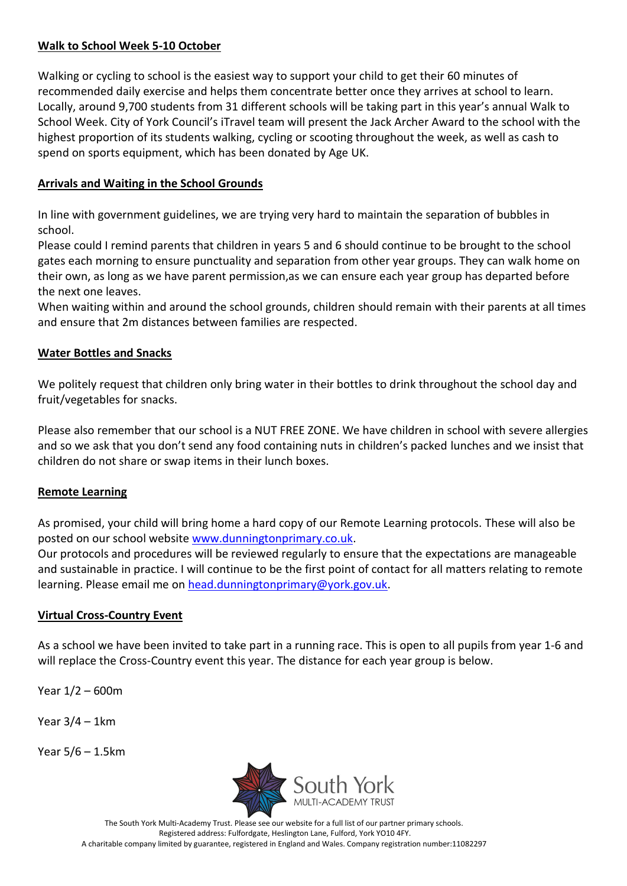### **Walk to School Week 5-10 October**

Walking or cycling to school is the easiest way to support your child to get their 60 minutes of recommended daily exercise and helps them concentrate better once they arrives at school to learn. Locally, around 9,700 students from 31 different schools will be taking part in this year's annual Walk to School Week. City of York Council's iTravel team will present the Jack Archer Award to the school with the highest proportion of its students walking, cycling or scooting throughout the week, as well as cash to spend on sports equipment, which has been donated by Age UK.

# **Arrivals and Waiting in the School Grounds**

In line with government guidelines, we are trying very hard to maintain the separation of bubbles in school.

Please could I remind parents that children in years 5 and 6 should continue to be brought to the school gates each morning to ensure punctuality and separation from other year groups. They can walk home on their own, as long as we have parent permission,as we can ensure each year group has departed before the next one leaves.

When waiting within and around the school grounds, children should remain with their parents at all times and ensure that 2m distances between families are respected.

# **Water Bottles and Snacks**

We politely request that children only bring water in their bottles to drink throughout the school day and fruit/vegetables for snacks.

Please also remember that our school is a NUT FREE ZONE. We have children in school with severe allergies and so we ask that you don't send any food containing nuts in children's packed lunches and we insist that children do not share or swap items in their lunch boxes.

# **Remote Learning**

As promised, your child will bring home a hard copy of our Remote Learning protocols. These will also be posted on our school website [www.dunningtonprimary.co.uk.](http://www.dunningtonprimary.co.uk/)

Our protocols and procedures will be reviewed regularly to ensure that the expectations are manageable and sustainable in practice. I will continue to be the first point of contact for all matters relating to remote learning. Please email me on [head.dunningtonprimary@york.gov.uk.](mailto:head.dunningtonprimary@york.gov.uk)

# **Virtual Cross-Country Event**

As a school we have been invited to take part in a running race. This is open to all pupils from year 1-6 and will replace the Cross-Country event this year. The distance for each year group is below.

Year 1/2 – 600m

Year 3/4 – 1km

Year 5/6 – 1.5km



The South York Multi-Academy Trust. Please see our website for a full list of our partner primary schools. Registered address: Fulfordgate, Heslington Lane, Fulford, York YO10 4FY. A charitable company limited by guarantee, registered in England and Wales. Company registration number:11082297